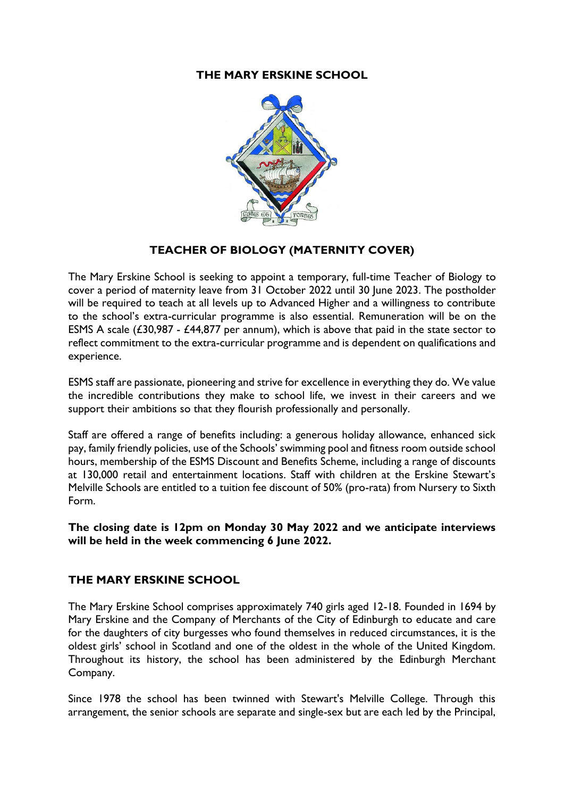### **THE MARY ERSKINE SCHOOL**



# **TEACHER OF BIOLOGY (MATERNITY COVER)**

The Mary Erskine School is seeking to appoint a temporary, full-time Teacher of Biology to cover a period of maternity leave from 31 October 2022 until 30 June 2023. The postholder will be required to teach at all levels up to Advanced Higher and a willingness to contribute to the school's extra-curricular programme is also essential. Remuneration will be on the ESMS A scale  $(£30,987 - £44,877$  per annum), which is above that paid in the state sector to reflect commitment to the extra-curricular programme and is dependent on qualifications and experience.

ESMS staff are passionate, pioneering and strive for excellence in everything they do. We value the incredible contributions they make to school life, we invest in their careers and we support their ambitions so that they flourish professionally and personally.

Staff are offered a range of benefits including: a generous holiday allowance, enhanced sick pay, family friendly policies, use of the Schools' swimming pool and fitness room outside school hours, membership of the ESMS Discount and Benefits Scheme, including a range of discounts at 130,000 retail and entertainment locations. Staff with children at the Erskine Stewart's Melville Schools are entitled to a tuition fee discount of 50% (pro-rata) from Nursery to Sixth Form.

**The closing date is 12pm on Monday 30 May 2022 and we anticipate interviews will be held in the week commencing 6 June 2022.** 

#### **THE MARY ERSKINE SCHOOL**

The Mary Erskine School comprises approximately 740 girls aged 12-18. Founded in 1694 by Mary Erskine and the Company of Merchants of the City of Edinburgh to educate and care for the daughters of city burgesses who found themselves in reduced circumstances, it is the oldest girls' school in Scotland and one of the oldest in the whole of the United Kingdom. Throughout its history, the school has been administered by the Edinburgh Merchant Company.

Since 1978 the school has been twinned with Stewart's Melville College. Through this arrangement, the senior schools are separate and single-sex but are each led by the Principal,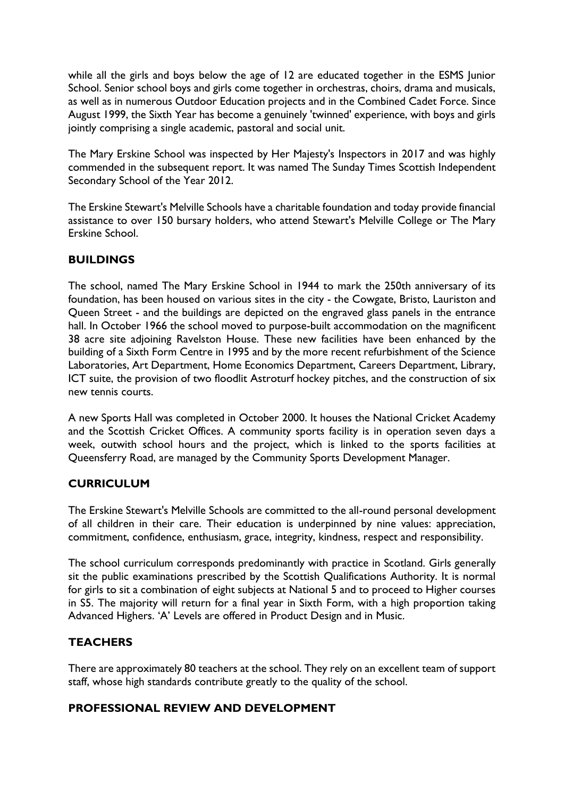while all the girls and boys below the age of 12 are educated together in the ESMS Junior School. Senior school boys and girls come together in orchestras, choirs, drama and musicals, as well as in numerous Outdoor Education projects and in the Combined Cadet Force. Since August 1999, the Sixth Year has become a genuinely 'twinned' experience, with boys and girls jointly comprising a single academic, pastoral and social unit.

The Mary Erskine School was inspected by Her Majesty's Inspectors in 2017 and was highly commended in the subsequent report. It was named The Sunday Times Scottish Independent Secondary School of the Year 2012.

The Erskine Stewart's Melville Schools have a charitable foundation and today provide financial assistance to over 150 bursary holders, who attend Stewart's Melville College or The Mary Erskine School.

# **BUILDINGS**

The school, named The Mary Erskine School in 1944 to mark the 250th anniversary of its foundation, has been housed on various sites in the city - the Cowgate, Bristo, Lauriston and Queen Street - and the buildings are depicted on the engraved glass panels in the entrance hall. In October 1966 the school moved to purpose-built accommodation on the magnificent 38 acre site adjoining Ravelston House. These new facilities have been enhanced by the building of a Sixth Form Centre in 1995 and by the more recent refurbishment of the Science Laboratories, Art Department, Home Economics Department, Careers Department, Library, ICT suite, the provision of two floodlit Astroturf hockey pitches, and the construction of six new tennis courts.

A new Sports Hall was completed in October 2000. It houses the National Cricket Academy and the Scottish Cricket Offices. A community sports facility is in operation seven days a week, outwith school hours and the project, which is linked to the sports facilities at Queensferry Road, are managed by the Community Sports Development Manager.

#### **CURRICUI UM**

The Erskine Stewart's Melville Schools are committed to the all-round personal development of all children in their care. Their education is underpinned by nine values: appreciation, commitment, confidence, enthusiasm, grace, integrity, kindness, respect and responsibility.

The school curriculum corresponds predominantly with practice in Scotland. Girls generally sit the public examinations prescribed by the Scottish Qualifications Authority. It is normal for girls to sit a combination of eight subjects at National 5 and to proceed to Higher courses in S5. The majority will return for a final year in Sixth Form, with a high proportion taking Advanced Highers. 'A' Levels are offered in Product Design and in Music.

# **TEACHERS**

There are approximately 80 teachers at the school. They rely on an excellent team of support staff, whose high standards contribute greatly to the quality of the school.

#### **PROFESSIONAL REVIEW AND DEVELOPMENT**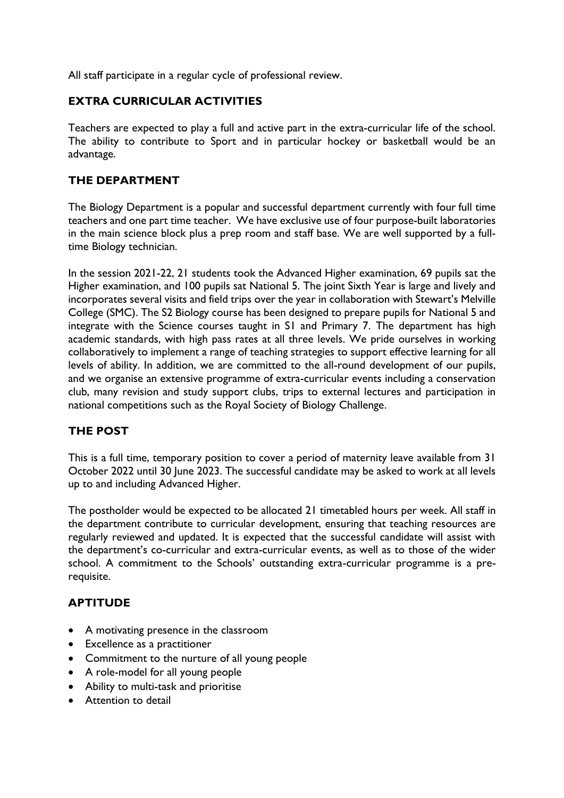All staff participate in a regular cycle of professional review.

### **EXTRA CURRICULAR ACTIVITIES**

Teachers are expected to play a full and active part in the extra-curricular life of the school. The ability to contribute to Sport and in particular hockey or basketball would be an advantage.

### **THE DEPARTMENT**

The Biology Department is a popular and successful department currently with four full time teachers and one part time teacher. We have exclusive use of four purpose-built laboratories in the main science block plus a prep room and staff base. We are well supported by a fulltime Biology technician.

In the session 2021-22, 21 students took the Advanced Higher examination, 69 pupils sat the Higher examination, and 100 pupils sat National 5. The joint Sixth Year is large and lively and incorporates several visits and field trips over the year in collaboration with Stewart's Melville College (SMC). The S2 Biology course has been designed to prepare pupils for National 5 and integrate with the Science courses taught in S1 and Primary 7. The department has high academic standards, with high pass rates at all three levels. We pride ourselves in working collaboratively to implement a range of teaching strategies to support effective learning for all levels of ability. In addition, we are committed to the all-round development of our pupils, and we organise an extensive programme of extra-curricular events including a conservation club, many revision and study support clubs, trips to external lectures and participation in national competitions such as the Royal Society of Biology Challenge.

# **THE POST**

This is a full time, temporary position to cover a period of maternity leave available from 31 October 2022 until 30 June 2023. The successful candidate may be asked to work at all levels up to and including Advanced Higher.

The postholder would be expected to be allocated 21 timetabled hours per week. All staff in the department contribute to curricular development, ensuring that teaching resources are regularly reviewed and updated. It is expected that the successful candidate will assist with the department's co-curricular and extra-curricular events, as well as to those of the wider school. A commitment to the Schools' outstanding extra-curricular programme is a prerequisite.

# **APTITUDE**

- A motivating presence in the classroom
- Excellence as a practitioner
- Commitment to the nurture of all young people
- A role-model for all young people
- Ability to multi-task and prioritise
- Attention to detail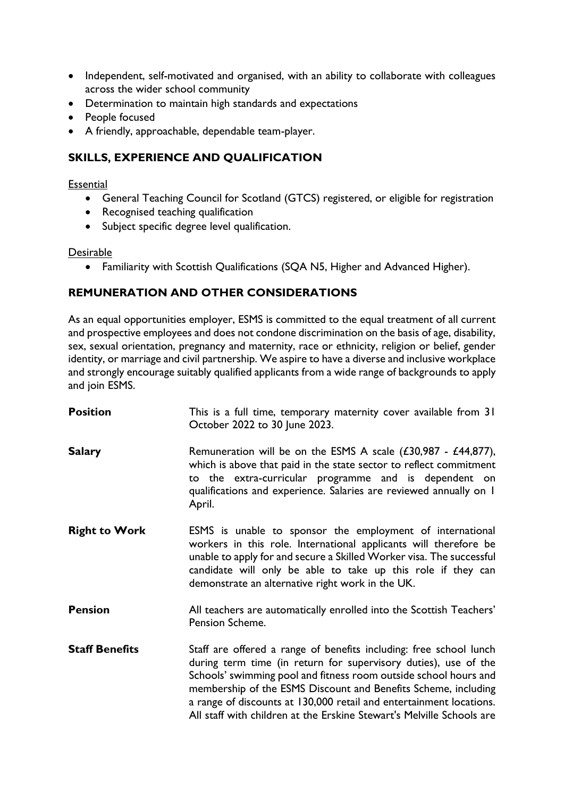- Independent, self-motivated and organised, with an ability to collaborate with colleagues across the wider school community
- Determination to maintain high standards and expectations
- People focused
- A friendly, approachable, dependable team-player.

### **SKILLS, EXPERIENCE AND QUALIFICATION**

#### **Essential**

- General Teaching Council for Scotland (GTCS) registered, or eligible for registration
- Recognised teaching qualification
- Subject specific degree level qualification.

#### Desirable

• Familiarity with Scottish Qualifications (SQA N5, Higher and Advanced Higher).

# **REMUNERATION AND OTHER CONSIDERATIONS**

As an equal opportunities employer, ESMS is committed to the equal treatment of all current and prospective employees and does not condone discrimination on the basis of age, disability, sex, sexual orientation, pregnancy and maternity, race or ethnicity, religion or belief, gender identity, or marriage and civil partnership. We aspire to have a diverse and inclusive workplace and strongly encourage suitably qualified applicants from a wide range of backgrounds to apply and join ESMS.

| <b>Position</b>       | This is a full time, temporary maternity cover available from 31<br>October 2022 to 30 June 2023.                                                                                                                                                                                                                                                                                                                           |
|-----------------------|-----------------------------------------------------------------------------------------------------------------------------------------------------------------------------------------------------------------------------------------------------------------------------------------------------------------------------------------------------------------------------------------------------------------------------|
| <b>Salary</b>         | Remuneration will be on the ESMS A scale $(£30,987 - £44,877)$ ,<br>which is above that paid in the state sector to reflect commitment<br>to the extra-curricular programme and is dependent on<br>qualifications and experience. Salaries are reviewed annually on I<br>April.                                                                                                                                             |
| <b>Right to Work</b>  | ESMS is unable to sponsor the employment of international<br>workers in this role. International applicants will therefore be<br>unable to apply for and secure a Skilled Worker visa. The successful<br>candidate will only be able to take up this role if they can<br>demonstrate an alternative right work in the UK.                                                                                                   |
| <b>Pension</b>        | All teachers are automatically enrolled into the Scottish Teachers'<br>Pension Scheme.                                                                                                                                                                                                                                                                                                                                      |
| <b>Staff Benefits</b> | Staff are offered a range of benefits including: free school lunch<br>during term time (in return for supervisory duties), use of the<br>Schools' swimming pool and fitness room outside school hours and<br>membership of the ESMS Discount and Benefits Scheme, including<br>a range of discounts at 130,000 retail and entertainment locations.<br>All staff with children at the Erskine Stewart's Melville Schools are |